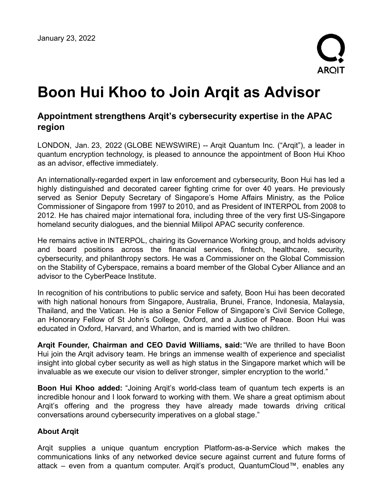

# **Boon Hui Khoo to Join Arqit as Advisor**

## **Appointment strengthens Arqit's cybersecurity expertise in the APAC region**

LONDON, Jan. 23, 2022 (GLOBE NEWSWIRE) -- Arqit Quantum Inc. ("Arqit"), a leader in quantum encryption technology, is pleased to announce the appointment of Boon Hui Khoo as an advisor, effective immediately.

An internationally-regarded expert in law enforcement and cybersecurity, Boon Hui has led a highly distinguished and decorated career fighting crime for over 40 years. He previously served as Senior Deputy Secretary of Singapore's Home Affairs Ministry, as the Police Commissioner of Singapore from 1997 to 2010, and as President of INTERPOL from 2008 to 2012. He has chaired major international fora, including three of the very first US-Singapore homeland security dialogues, and the biennial Milipol APAC security conference.

He remains active in INTERPOL, chairing its Governance Working group, and holds advisory and board positions across the financial services, fintech, healthcare, security, cybersecurity, and philanthropy sectors. He was a Commissioner on the Global Commission on the Stability of Cyberspace, remains a board member of the Global Cyber Alliance and an advisor to the CyberPeace Institute.

In recognition of his contributions to public service and safety, Boon Hui has been decorated with high national honours from Singapore, Australia, Brunei, France, Indonesia, Malaysia, Thailand, and the Vatican. He is also a Senior Fellow of Singapore's Civil Service College, an Honorary Fellow of St John's College, Oxford, and a Justice of Peace. Boon Hui was educated in Oxford, Harvard, and Wharton, and is married with two children.

**Arqit Founder, Chairman and CEO David Williams, said:**"We are thrilled to have Boon Hui join the Arqit advisory team. He brings an immense wealth of experience and specialist insight into global cyber security as well as high status in the Singapore market which will be invaluable as we execute our vision to deliver stronger, simpler encryption to the world."

**Boon Hui Khoo added:** "Joining Arqit's world-class team of quantum tech experts is an incredible honour and I look forward to working with them. We share a great optimism about Arqit's offering and the progress they have already made towards driving critical conversations around cybersecurity imperatives on a global stage."

### **About Arqit**

Arqit supplies a unique quantum encryption Platform-as-a-Service which makes the communications links of any networked device secure against current and future forms of attack – even from a quantum computer. Arqit's product, QuantumCloud™, enables any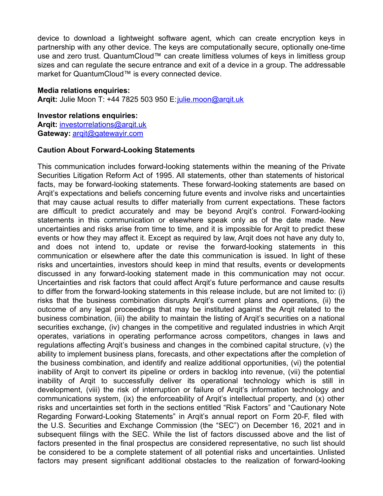device to download a lightweight software agent, which can create encryption keys in partnership with any other device. The keys are computationally secure, optionally one-time use and zero trust. QuantumCloud™ can create limitless volumes of keys in limitless group sizes and can regulate the secure entrance and exit of a device in a group. The addressable market for QuantumCloud™ is every connected device.

#### **Media relations enquiries:**

**Arqit:** Julie Moon T: +44 7825 503 950 E: *[julie.moon@arqit.uk](https://www.globenewswire.com/Tracker?data=IUTUjKMDuLdxklLA0dvvNvL_vlQO3BTA2q69okNWUUH3nNg3XMPdqDObXpZK07PwmJUfssYZxfz8iayb5ltRRueYX2en0tQr2w8kp5sYFts=)* 

## **Investor relations enquiries:**

**Arqit:** [investorrelations@arqit.uk](https://www.globenewswire.com/Tracker?data=F71nt0ZjUb_bXG1DRKM27nD2k3Qyvs1BA41vNvB4SN6HzU1HqOfQogdMLYaJ9sBCK-BryOWN2xbht9UI5mmOFP1AXGEOFz1PerCBVOG1LTdrZcoWhTTmKe1nOdvUgW7i) **Gateway:** [arqit@gatewayir.com](https://www.globenewswire.com/Tracker?data=1cQzHLj8qL38LGtwoq6kF-20-fp6dAqQYX3sZnyBi_mszNgJrUyR-AYFwJ085LGjlrubivTaQMGMe3PA2pF1Dnrr-oBfmoDBYgqe9-bLjis=)

#### **Caution About Forward-Looking Statements**

This communication includes forward-looking statements within the meaning of the Private Securities Litigation Reform Act of 1995. All statements, other than statements of historical facts, may be forward-looking statements. These forward-looking statements are based on Arqit's expectations and beliefs concerning future events and involve risks and uncertainties that may cause actual results to differ materially from current expectations. These factors are difficult to predict accurately and may be beyond Arqit's control. Forward-looking statements in this communication or elsewhere speak only as of the date made. New uncertainties and risks arise from time to time, and it is impossible for Arqit to predict these events or how they may affect it. Except as required by law, Arqit does not have any duty to, and does not intend to, update or revise the forward-looking statements in this communication or elsewhere after the date this communication is issued. In light of these risks and uncertainties, investors should keep in mind that results, events or developments discussed in any forward-looking statement made in this communication may not occur. Uncertainties and risk factors that could affect Arqit's future performance and cause results to differ from the forward-looking statements in this release include, but are not limited to: (i) risks that the business combination disrupts Arqit's current plans and operations, (ii) the outcome of any legal proceedings that may be instituted against the Arqit related to the business combination, (iii) the ability to maintain the listing of Arqit's securities on a national securities exchange, (iv) changes in the competitive and regulated industries in which Arqit operates, variations in operating performance across competitors, changes in laws and regulations affecting Arqit's business and changes in the combined capital structure, (v) the ability to implement business plans, forecasts, and other expectations after the completion of the business combination, and identify and realize additional opportunities, (vi) the potential inability of Arqit to convert its pipeline or orders in backlog into revenue, (vii) the potential inability of Arqit to successfully deliver its operational technology which is still in development, (viii) the risk of interruption or failure of Arqit's information technology and communications system, (ix) the enforceability of Arqit's intellectual property, and (x) other risks and uncertainties set forth in the sections entitled "Risk Factors" and "Cautionary Note Regarding Forward-Looking Statements" in Arqit's annual report on Form 20-F, filed with the U.S. Securities and Exchange Commission (the "SEC") on December 16, 2021 and in subsequent filings with the SEC. While the list of factors discussed above and the list of factors presented in the final prospectus are considered representative, no such list should be considered to be a complete statement of all potential risks and uncertainties. Unlisted factors may present significant additional obstacles to the realization of forward-looking